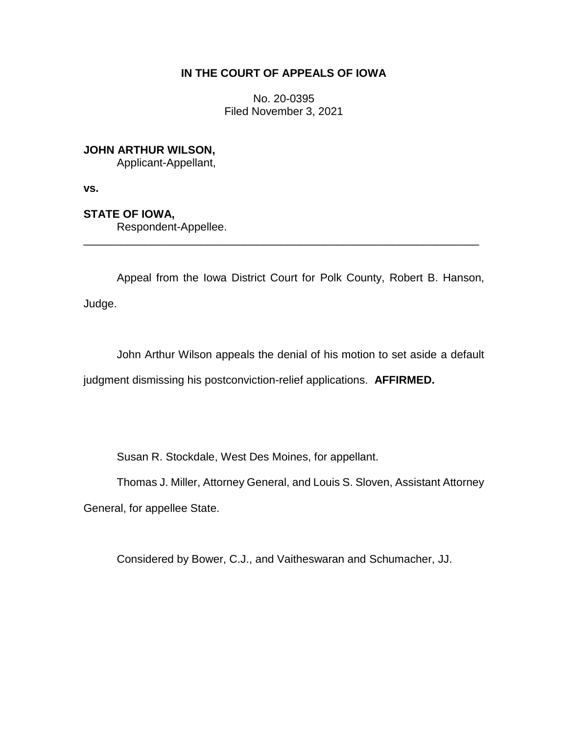# **IN THE COURT OF APPEALS OF IOWA**

No. 20-0395 Filed November 3, 2021

**JOHN ARTHUR WILSON,**

Applicant-Appellant,

**vs.**

**STATE OF IOWA,**

Respondent-Appellee.

Appeal from the Iowa District Court for Polk County, Robert B. Hanson, Judge.

\_\_\_\_\_\_\_\_\_\_\_\_\_\_\_\_\_\_\_\_\_\_\_\_\_\_\_\_\_\_\_\_\_\_\_\_\_\_\_\_\_\_\_\_\_\_\_\_\_\_\_\_\_\_\_\_\_\_\_\_\_\_\_\_

John Arthur Wilson appeals the denial of his motion to set aside a default judgment dismissing his postconviction-relief applications. **AFFIRMED.**

Susan R. Stockdale, West Des Moines, for appellant.

Thomas J. Miller, Attorney General, and Louis S. Sloven, Assistant Attorney

General, for appellee State.

Considered by Bower, C.J., and Vaitheswaran and Schumacher, JJ.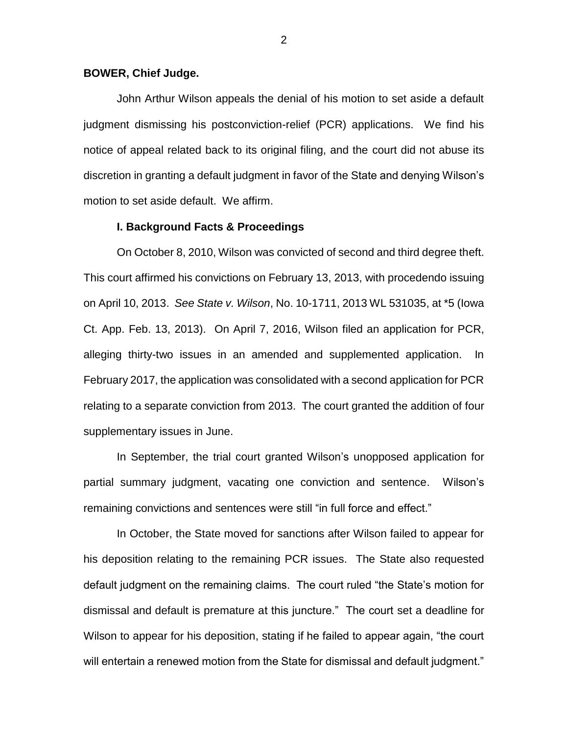### **BOWER, Chief Judge.**

John Arthur Wilson appeals the denial of his motion to set aside a default judgment dismissing his postconviction-relief (PCR) applications. We find his notice of appeal related back to its original filing, and the court did not abuse its discretion in granting a default judgment in favor of the State and denying Wilson's motion to set aside default. We affirm.

#### **I. Background Facts & Proceedings**

On October 8, 2010, Wilson was convicted of second and third degree theft. This court affirmed his convictions on February 13, 2013, with procedendo issuing on April 10, 2013. *See State v. Wilson*, No. 10-1711, 2013 WL 531035, at \*5 (Iowa Ct. App. Feb. 13, 2013). On April 7, 2016, Wilson filed an application for PCR, alleging thirty-two issues in an amended and supplemented application. In February 2017, the application was consolidated with a second application for PCR relating to a separate conviction from 2013. The court granted the addition of four supplementary issues in June.

In September, the trial court granted Wilson's unopposed application for partial summary judgment, vacating one conviction and sentence. Wilson's remaining convictions and sentences were still "in full force and effect."

In October, the State moved for sanctions after Wilson failed to appear for his deposition relating to the remaining PCR issues. The State also requested default judgment on the remaining claims. The court ruled "the State's motion for dismissal and default is premature at this juncture." The court set a deadline for Wilson to appear for his deposition, stating if he failed to appear again, "the court will entertain a renewed motion from the State for dismissal and default judgment."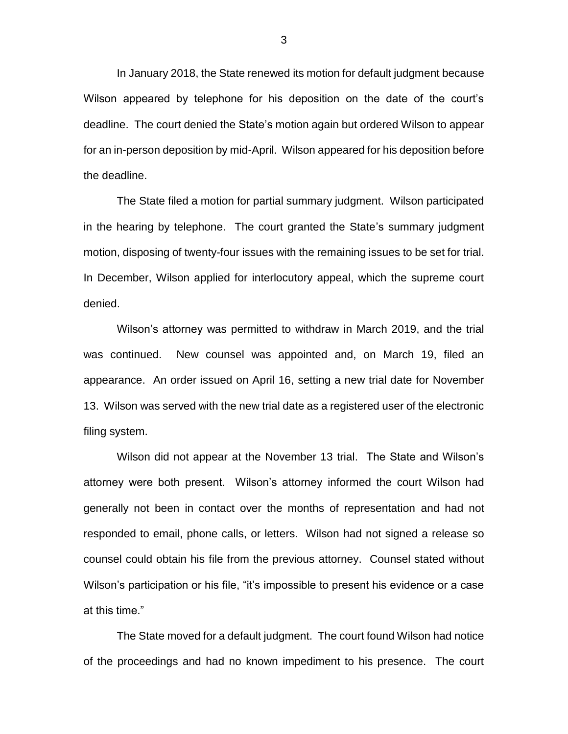In January 2018, the State renewed its motion for default judgment because Wilson appeared by telephone for his deposition on the date of the court's deadline. The court denied the State's motion again but ordered Wilson to appear for an in-person deposition by mid-April. Wilson appeared for his deposition before the deadline.

The State filed a motion for partial summary judgment. Wilson participated in the hearing by telephone. The court granted the State's summary judgment motion, disposing of twenty-four issues with the remaining issues to be set for trial. In December, Wilson applied for interlocutory appeal, which the supreme court denied.

Wilson's attorney was permitted to withdraw in March 2019, and the trial was continued. New counsel was appointed and, on March 19, filed an appearance. An order issued on April 16, setting a new trial date for November 13. Wilson was served with the new trial date as a registered user of the electronic filing system.

Wilson did not appear at the November 13 trial. The State and Wilson's attorney were both present. Wilson's attorney informed the court Wilson had generally not been in contact over the months of representation and had not responded to email, phone calls, or letters. Wilson had not signed a release so counsel could obtain his file from the previous attorney. Counsel stated without Wilson's participation or his file, "it's impossible to present his evidence or a case at this time."

The State moved for a default judgment. The court found Wilson had notice of the proceedings and had no known impediment to his presence. The court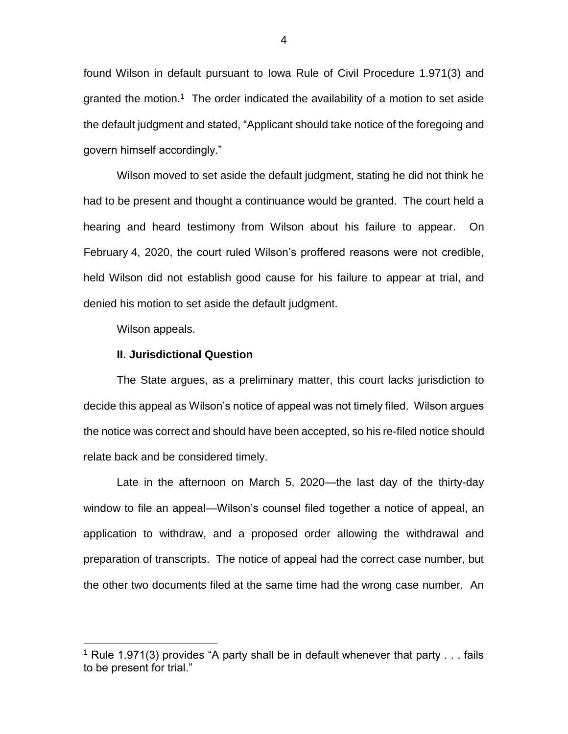found Wilson in default pursuant to Iowa Rule of Civil Procedure 1.971(3) and granted the motion.<sup>1</sup> The order indicated the availability of a motion to set aside the default judgment and stated, "Applicant should take notice of the foregoing and govern himself accordingly."

Wilson moved to set aside the default judgment, stating he did not think he had to be present and thought a continuance would be granted. The court held a hearing and heard testimony from Wilson about his failure to appear. On February 4, 2020, the court ruled Wilson's proffered reasons were not credible, held Wilson did not establish good cause for his failure to appear at trial, and denied his motion to set aside the default judgment.

Wilson appeals.

 $\overline{a}$ 

#### **II. Jurisdictional Question**

The State argues, as a preliminary matter, this court lacks jurisdiction to decide this appeal as Wilson's notice of appeal was not timely filed. Wilson argues the notice was correct and should have been accepted, so his re-filed notice should relate back and be considered timely.

Late in the afternoon on March 5, 2020—the last day of the thirty-day window to file an appeal—Wilson's counsel filed together a notice of appeal, an application to withdraw, and a proposed order allowing the withdrawal and preparation of transcripts. The notice of appeal had the correct case number, but the other two documents filed at the same time had the wrong case number. An

<sup>&</sup>lt;sup>1</sup> Rule 1.971(3) provides "A party shall be in default whenever that party  $\dots$  fails to be present for trial."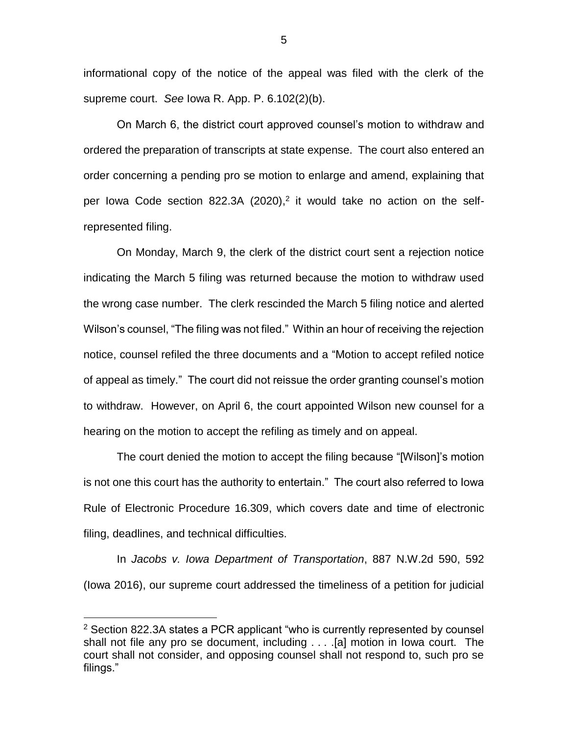informational copy of the notice of the appeal was filed with the clerk of the supreme court. *See* Iowa R. App. P. 6.102(2)(b).

On March 6, the district court approved counsel's motion to withdraw and ordered the preparation of transcripts at state expense. The court also entered an order concerning a pending pro se motion to enlarge and amend, explaining that per lowa Code section 822.3A (2020),<sup>2</sup> it would take no action on the selfrepresented filing.

On Monday, March 9, the clerk of the district court sent a rejection notice indicating the March 5 filing was returned because the motion to withdraw used the wrong case number. The clerk rescinded the March 5 filing notice and alerted Wilson's counsel, "The filing was not filed." Within an hour of receiving the rejection notice, counsel refiled the three documents and a "Motion to accept refiled notice of appeal as timely." The court did not reissue the order granting counsel's motion to withdraw. However, on April 6, the court appointed Wilson new counsel for a hearing on the motion to accept the refiling as timely and on appeal.

The court denied the motion to accept the filing because "[Wilson]'s motion is not one this court has the authority to entertain." The court also referred to Iowa Rule of Electronic Procedure 16.309, which covers date and time of electronic filing, deadlines, and technical difficulties.

In *Jacobs v. Iowa Department of Transportation*, 887 N.W.2d 590, 592 (Iowa 2016), our supreme court addressed the timeliness of a petition for judicial

 $\overline{a}$ 

 $2$  Section 822.3A states a PCR applicant "who is currently represented by counsel shall not file any pro se document, including . . . .[a] motion in Iowa court. The court shall not consider, and opposing counsel shall not respond to, such pro se filings."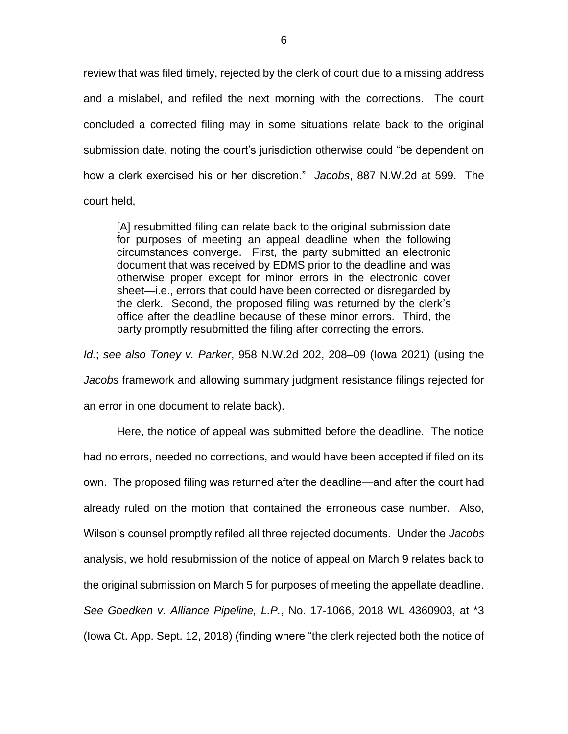review that was filed timely, rejected by the clerk of court due to a missing address and a mislabel, and refiled the next morning with the corrections. The court concluded a corrected filing may in some situations relate back to the original submission date, noting the court's jurisdiction otherwise could "be dependent on how a clerk exercised his or her discretion." *Jacobs*, 887 N.W.2d at 599. The court held,

[A] resubmitted filing can relate back to the original submission date for purposes of meeting an appeal deadline when the following circumstances converge. First, the party submitted an electronic document that was received by EDMS prior to the deadline and was otherwise proper except for minor errors in the electronic cover sheet—i.e., errors that could have been corrected or disregarded by the clerk. Second, the proposed filing was returned by the clerk's office after the deadline because of these minor errors. Third, the party promptly resubmitted the filing after correcting the errors.

*Id.*; *see also Toney v. Parker*, 958 N.W.2d 202, 208–09 (Iowa 2021) (using the *Jacobs* framework and allowing summary judgment resistance filings rejected for an error in one document to relate back).

Here, the notice of appeal was submitted before the deadline. The notice had no errors, needed no corrections, and would have been accepted if filed on its own. The proposed filing was returned after the deadline—and after the court had already ruled on the motion that contained the erroneous case number. Also, Wilson's counsel promptly refiled all three rejected documents. Under the *Jacobs* analysis, we hold resubmission of the notice of appeal on March 9 relates back to the original submission on March 5 for purposes of meeting the appellate deadline. *See Goedken v. Alliance Pipeline, L.P.*, No. 17-1066, 2018 WL 4360903, at \*3 (Iowa Ct. App. Sept. 12, 2018) (finding where "the clerk rejected both the notice of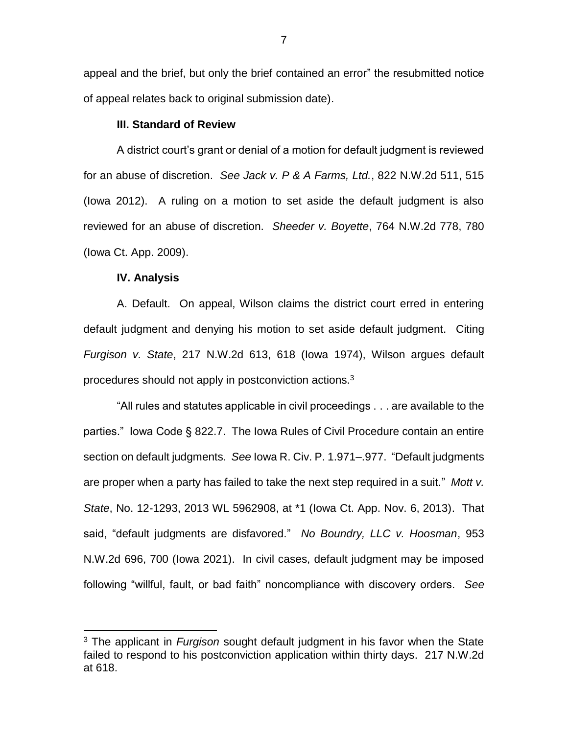appeal and the brief, but only the brief contained an error" the resubmitted notice of appeal relates back to original submission date).

### **III. Standard of Review**

A district court's grant or denial of a motion for default judgment is reviewed for an abuse of discretion. *See Jack v. P & A Farms, Ltd.*, 822 N.W.2d 511, 515 (Iowa 2012). A ruling on a motion to set aside the default judgment is also reviewed for an abuse of discretion. *Sheeder v. Boyette*, 764 N.W.2d 778, 780 (Iowa Ct. App. 2009).

#### **IV. Analysis**

 $\overline{a}$ 

A. Default. On appeal, Wilson claims the district court erred in entering default judgment and denying his motion to set aside default judgment. Citing *Furgison v. State*, 217 N.W.2d 613, 618 (Iowa 1974), Wilson argues default procedures should not apply in postconviction actions.<sup>3</sup>

"All rules and statutes applicable in civil proceedings . . . are available to the parties." Iowa Code § 822.7. The Iowa Rules of Civil Procedure contain an entire section on default judgments. *See* Iowa R. Civ. P. 1.971–.977. "Default judgments are proper when a party has failed to take the next step required in a suit." *Mott v. State*, No. 12-1293, 2013 WL 5962908, at \*1 (Iowa Ct. App. Nov. 6, 2013). That said, "default judgments are disfavored." *No Boundry, LLC v. Hoosman*, 953 N.W.2d 696, 700 (Iowa 2021). In civil cases, default judgment may be imposed following "willful, fault, or bad faith" noncompliance with discovery orders. *See* 

<sup>3</sup> The applicant in *Furgison* sought default judgment in his favor when the State failed to respond to his postconviction application within thirty days. 217 N.W.2d at 618.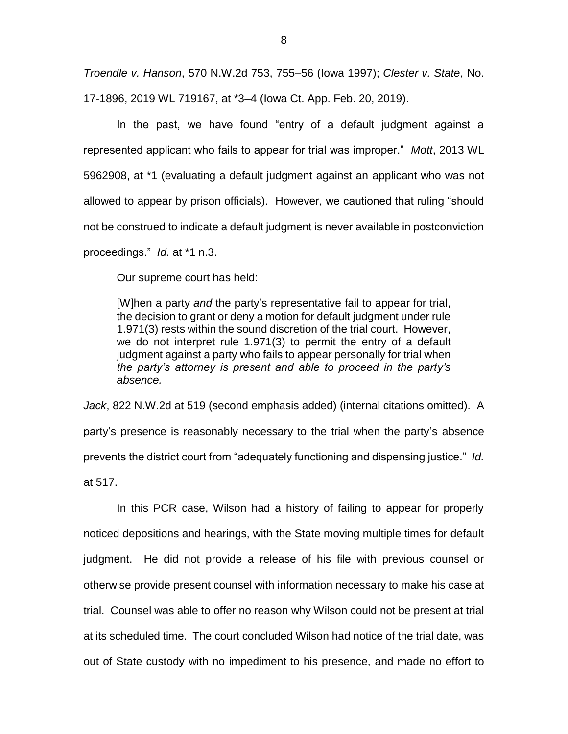*Troendle v. Hanson*, 570 N.W.2d 753, 755–56 (Iowa 1997); *Clester v. State*, No. 17-1896, 2019 WL 719167, at \*3–4 (Iowa Ct. App. Feb. 20, 2019).

In the past, we have found "entry of a default judgment against a represented applicant who fails to appear for trial was improper." *Mott*, 2013 WL 5962908, at \*1 (evaluating a default judgment against an applicant who was not allowed to appear by prison officials). However, we cautioned that ruling "should not be construed to indicate a default judgment is never available in postconviction proceedings." *Id.* at \*1 n.3.

Our supreme court has held:

[W]hen a party *and* the party's representative fail to appear for trial, the decision to grant or deny a motion for default judgment under rule 1.971(3) rests within the sound discretion of the trial court. However, we do not interpret rule 1.971(3) to permit the entry of a default judgment against a party who fails to appear personally for trial when *the party's attorney is present and able to proceed in the party's absence.*

*Jack*, 822 N.W.2d at 519 (second emphasis added) (internal citations omitted). A party's presence is reasonably necessary to the trial when the party's absence prevents the district court from "adequately functioning and dispensing justice." *Id.*  at 517.

In this PCR case, Wilson had a history of failing to appear for properly noticed depositions and hearings, with the State moving multiple times for default judgment. He did not provide a release of his file with previous counsel or otherwise provide present counsel with information necessary to make his case at trial. Counsel was able to offer no reason why Wilson could not be present at trial at its scheduled time. The court concluded Wilson had notice of the trial date, was out of State custody with no impediment to his presence, and made no effort to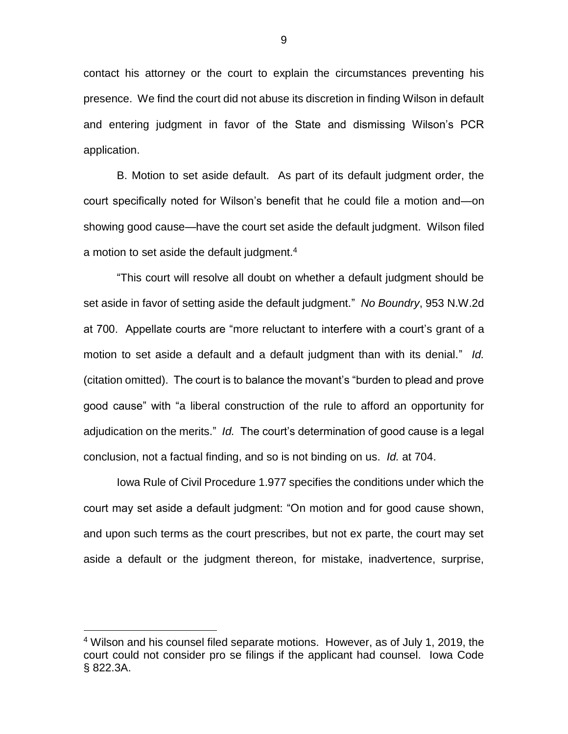contact his attorney or the court to explain the circumstances preventing his presence. We find the court did not abuse its discretion in finding Wilson in default and entering judgment in favor of the State and dismissing Wilson's PCR application.

B. Motion to set aside default. As part of its default judgment order, the court specifically noted for Wilson's benefit that he could file a motion and—on showing good cause—have the court set aside the default judgment. Wilson filed a motion to set aside the default judgment.<sup>4</sup>

"This court will resolve all doubt on whether a default judgment should be set aside in favor of setting aside the default judgment." *No Boundry*, 953 N.W.2d at 700. Appellate courts are "more reluctant to interfere with a court's grant of a motion to set aside a default and a default judgment than with its denial." *Id.*  (citation omitted). The court is to balance the movant's "burden to plead and prove good cause" with "a liberal construction of the rule to afford an opportunity for adjudication on the merits." *Id.* The court's determination of good cause is a legal conclusion, not a factual finding, and so is not binding on us. *Id.* at 704.

Iowa Rule of Civil Procedure 1.977 specifies the conditions under which the court may set aside a default judgment: "On motion and for good cause shown, and upon such terms as the court prescribes, but not ex parte, the court may set aside a default or the judgment thereon, for mistake, inadvertence, surprise,

 $\overline{a}$ 

<sup>4</sup> Wilson and his counsel filed separate motions. However, as of July 1, 2019, the court could not consider pro se filings if the applicant had counsel. Iowa Code § 822.3A.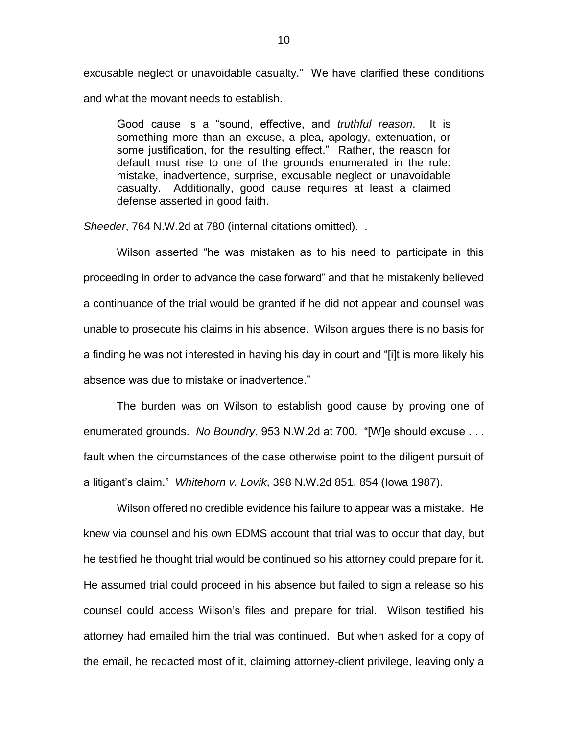excusable neglect or unavoidable casualty." We have clarified these conditions and what the movant needs to establish.

Good cause is a "sound, effective, and *truthful reason*. It is something more than an excuse, a plea, apology, extenuation, or some justification, for the resulting effect." Rather, the reason for default must rise to one of the grounds enumerated in the rule: mistake, inadvertence, surprise, excusable neglect or unavoidable casualty. Additionally, good cause requires at least a claimed defense asserted in good faith.

*Sheeder*, 764 N.W.2d at 780 (internal citations omitted). .

Wilson asserted "he was mistaken as to his need to participate in this proceeding in order to advance the case forward" and that he mistakenly believed a continuance of the trial would be granted if he did not appear and counsel was unable to prosecute his claims in his absence. Wilson argues there is no basis for a finding he was not interested in having his day in court and "[i]t is more likely his absence was due to mistake or inadvertence."

The burden was on Wilson to establish good cause by proving one of enumerated grounds. *No Boundry*, 953 N.W.2d at 700. "[W]e should excuse . . . fault when the circumstances of the case otherwise point to the diligent pursuit of a litigant's claim." *Whitehorn v. Lovik*, 398 N.W.2d 851, 854 (Iowa 1987).

Wilson offered no credible evidence his failure to appear was a mistake. He knew via counsel and his own EDMS account that trial was to occur that day, but he testified he thought trial would be continued so his attorney could prepare for it. He assumed trial could proceed in his absence but failed to sign a release so his counsel could access Wilson's files and prepare for trial. Wilson testified his attorney had emailed him the trial was continued. But when asked for a copy of the email, he redacted most of it, claiming attorney-client privilege, leaving only a